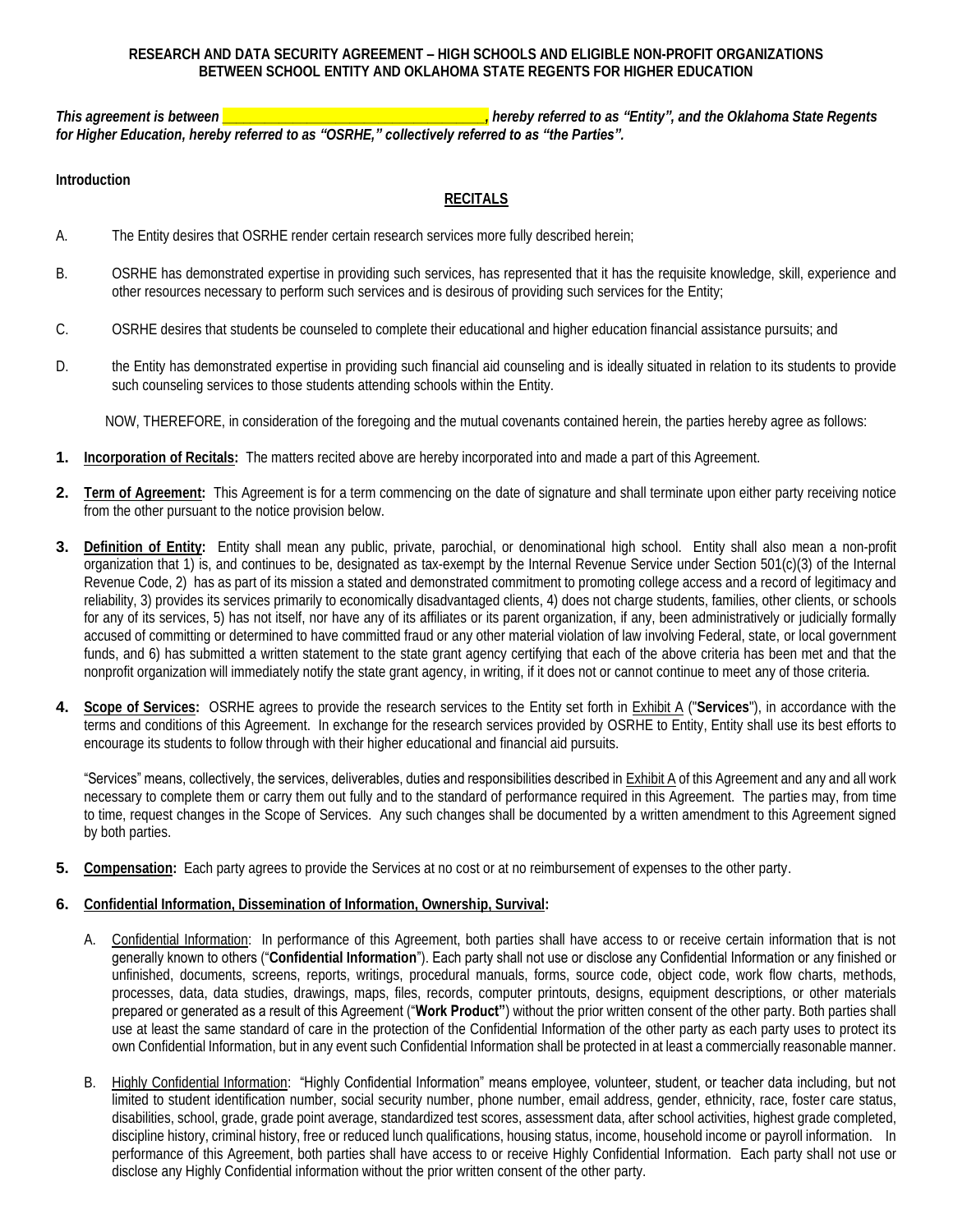*This agreement is between \_\_\_\_\_\_\_\_\_\_\_\_\_\_\_\_\_\_\_\_\_\_\_\_\_\_\_\_\_\_\_\_\_\_\_\_\_, hereby referred to as "Entity", and the Oklahoma State Regents for Higher Education, hereby referred to as "OSRHE," collectively referred to as "the Parties".*

**Introduction** 

## **RECITALS**

- A. The Entity desires that OSRHE render certain research services more fully described herein;
- B. OSRHE has demonstrated expertise in providing such services, has represented that it has the requisite knowledge, skill, experience and other resources necessary to perform such services and is desirous of providing such services for the Entity;
- C. OSRHE desires that students be counseled to complete their educational and higher education financial assistance pursuits; and
- D. the Entity has demonstrated expertise in providing such financial aid counseling and is ideally situated in relation to its students to provide such counseling services to those students attending schools within the Entity.

NOW, THEREFORE, in consideration of the foregoing and the mutual covenants contained herein, the parties hereby agree as follows:

- **1. Incorporation of Recitals:** The matters recited above are hereby incorporated into and made a part of this Agreement.
- **2. Term of Agreement:** This Agreement is for a term commencing on the date of signature and shall terminate upon either party receiving notice from the other pursuant to the notice provision below.
- **3. Definition of Entity:** Entity shall mean any public, private, parochial, or denominational high school. Entity shall also mean a non-profit organization that 1) is, and continues to be, designated as tax-exempt by the Internal Revenue Service under Section 501(c)(3) of the Internal Revenue Code, 2) has as part of its mission a stated and demonstrated commitment to promoting college access and a record of legitimacy and funds, and 6) has submitted a written statement to the state grant agency certifying that each of the above criteria has been met and that the reliability, 3) provides its services primarily to economically disadvantaged clients, 4) does not charge students, families, other clients, or schools for any of its services, 5) has not itself, nor have any of its affiliates or its parent organization, if any, been administratively or judicially formally accused of committing or determined to have committed fraud or any other material violation of law involving Federal, state, or local government nonprofit organization will immediately notify the state grant agency, in writing, if it does not or cannot continue to meet any of those criteria.
- **4. Scope of Services:** OSRHE agrees to provide the research services to the Entity set forth in Exhibit A ("**Services**"), in accordance with the terms and conditions of this Agreement. In exchange for the research services provided by OSRHE to Entity, Entity shall use its best efforts to encourage its students to follow through with their higher educational and financial aid pursuits.

"Services" means, collectively, the services, deliverables, duties and responsibilities described in  $E$ xhibit A of this Agreement and any and all work necessary to complete them or carry them out fully and to the standard of performance required in this Agreement. The parties may, from time to time, request changes in the Scope of Services. Any such changes shall be documented by a written amendment to this Agreement signed by both parties.

- **5.** Compensation: Each party agrees to provide the Services at no cost or at no reimbursement of expenses to the other party.
- **6. Confidential Information, Dissemination of Information, Ownership, Survival:** 
	- processes, data, data studies, drawings, maps, files, records, computer printouts, designs, equipment descriptions, or other materials prepared or generated as a result of this Agreement ("**Work Product"**) without the prior written consent of the other party. Both parties shall use at least the same standard of care in the protection of the Confidential Information of the other party as each party uses to protect its own Confidential Information, but in any event such Confidential Information shall be protected in at least a commercially reasonable manner. A. Confidential Information: In performance of this Agreement, both parties shall have access to or receive certain information that is not generally known to others ("**Confidential Information**"). Each party shall not use or disclose any Confidential Information or any finished or unfinished, documents, screens, reports, writings, procedural manuals, forms, source code, object code, work flow charts, methods,
	- B. Highly Confidential Information: "Highly Confidential Information" means employee, volunteer, student, or teacher data including, but not limited to student identification number, social security number, phone number, email address, gender, ethnicity, race, foster care status, disabilities, school, grade, grade point average, standardized test scores, assessment data, after school activities, highest grade completed, discipline history, criminal history, free or reduced lunch qualifications, housing status, income, household income or payroll information. In performance of this Agreement, both parties shall have access to or receive Highly Confidential Information. Each party shall not use or disclose any Highly Confidential information without the prior written consent of the other party.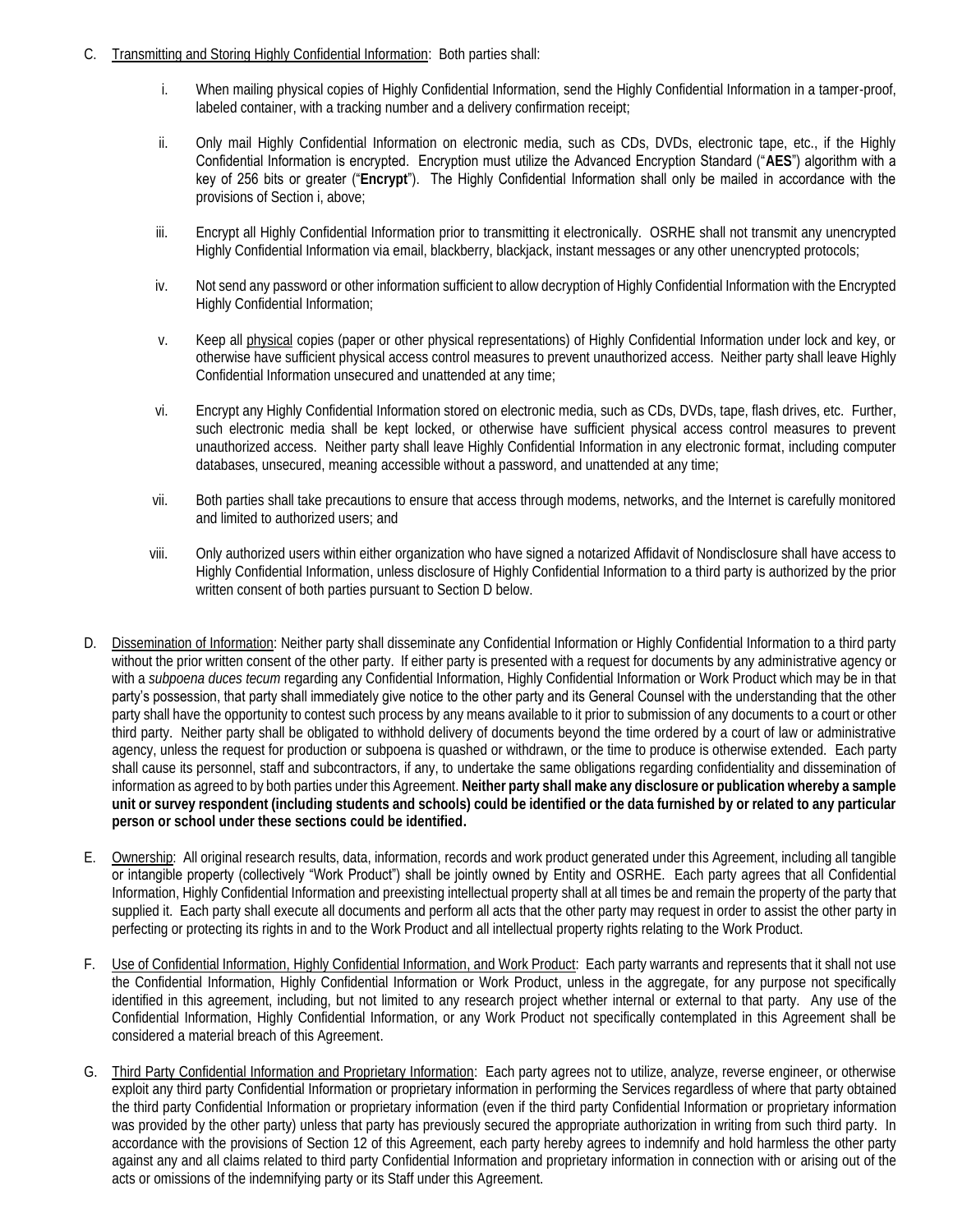- C. Transmitting and Storing Highly Confidential Information: Both parties shall:
	- i. When mailing physical copies of Highly Confidential Information, send the Highly Confidential Information in a tamper-proof, labeled container, with a tracking number and a delivery confirmation receipt;
	- ii. Only mail Highly Confidential Information on electronic media, such as CDs, DVDs, electronic tape, etc., if the Highly Confidential Information is encrypted. Encryption must utilize the Advanced Encryption Standard ("**AES**") algorithm with a key of 256 bits or greater ("**Encrypt**"). The Highly Confidential Information shall only be mailed in accordance with the provisions of Section i, above;
	- iii. Encrypt all Highly Confidential Information prior to transmitting it electronically. OSRHE shall not transmit any unencrypted Highly Confidential Information via email, blackberry, blackjack, instant messages or any other unencrypted protocols;
	- iv. Not send any password or other information sufficient to allow decryption of Highly Confidential Information with the Encrypted Highly Confidential Information;
	- v. Keep all **physical** copies (paper or other physical representations) of Highly Confidential Information under lock and key, or otherwise have sufficient physical access control measures to prevent unauthorized access. Neither party shall leave Highly Confidential Information unsecured and unattended at any time;
	- vi. Encrypt any Highly Confidential Information stored on electronic media, such as CDs, DVDs, tape, flash drives, etc. Further, such electronic media shall be kept locked, or otherwise have sufficient physical access control measures to prevent unauthorized access. Neither party shall leave Highly Confidential Information in any electronic format, including computer databases, unsecured, meaning accessible without a password, and unattended at any time;
	- vii. Both parties shall take precautions to ensure that access through modems, networks, and the Internet is carefully monitored and limited to authorized users; and
	- viii. Only authorized users within either organization who have signed a notarized Affidavit of Nondisclosure shall have access to Highly Confidential Information, unless disclosure of Highly Confidential Information to a third party is authorized by the prior written consent of both parties pursuant to Section D below.
- without the prior written consent of the other party. If either party is presented with a request for documents by any administrative agency or party shall have the opportunity to contest such process by any means available to it prior to submission of any documents to a court or other third party. Neither party shall be obligated to withhold delivery of documents beyond the time ordered by a court of law or administrative agency, unless the request for production or subpoena is quashed or withdrawn, or the time to produce is otherwise extended. Each party shall cause its personnel, staff and subcontractors, if any, to undertake the same obligations regarding confidentiality and dissemination of  information as agreed to by both parties under this Agreement. **Neither party shall make any disclosure or publication whereby a sample unit or survey respondent (including students and schools) could be identified or the data furnished by or related to any particular**  D. Dissemination of Information: Neither party shall disseminate any Confidential Information or Highly Confidential Information to a third party with a *subpoena duces tecum* regarding any Confidential Information, Highly Confidential Information or Work Product which may be in that party's possession, that party shall immediately give notice to the other party and its General Counsel with the understanding that the other **person or school under these sections could be identified.**
- E. Ownership: All original research results, data, information, records and work product generated under this Agreement, including all tangible or intangible property (collectively "Work Product") shall be jointly owned by Entity and OSRHE. Each party agrees that all Confidential Information, Highly Confidential Information and preexisting intellectual property shall at all times be and remain the property of the party that supplied it. Each party shall execute all documents and perform all acts that the other party may request in order to assist the other party in perfecting or protecting its rights in and to the Work Product and all intellectual property rights relating to the Work Product.
- the Confidential Information, Highly Confidential Information or Work Product, unless in the aggregate, for any purpose not specifically identified in this agreement, including, but not limited to any research project whether internal or external to that party. Any use of the Confidential Information, Highly Confidential Information, or any Work Product not specifically contemplated in this Agreement shall be F. Use of Confidential Information, Highly Confidential Information, and Work Product: Each party warrants and represents that it shall not use considered a material breach of this Agreement.
- G. Third Party Confidential Information and Proprietary Information: Each party agrees not to utilize, analyze, reverse engineer, or otherwise was provided by the other party) unless that party has previously secured the appropriate authorization in writing from such third party. In accordance with the provisions of Section 12 of this Agreement, each party hereby agrees to indemnify and hold harmless the other party against any and all claims related to third party Confidential Information and proprietary information in connection with or arising out of the exploit any third party Confidential Information or proprietary information in performing the Services regardless of where that party obtained the third party Confidential Information or proprietary information (even if the third party Confidential Information or proprietary information acts or omissions of the indemnifying party or its Staff under this Agreement.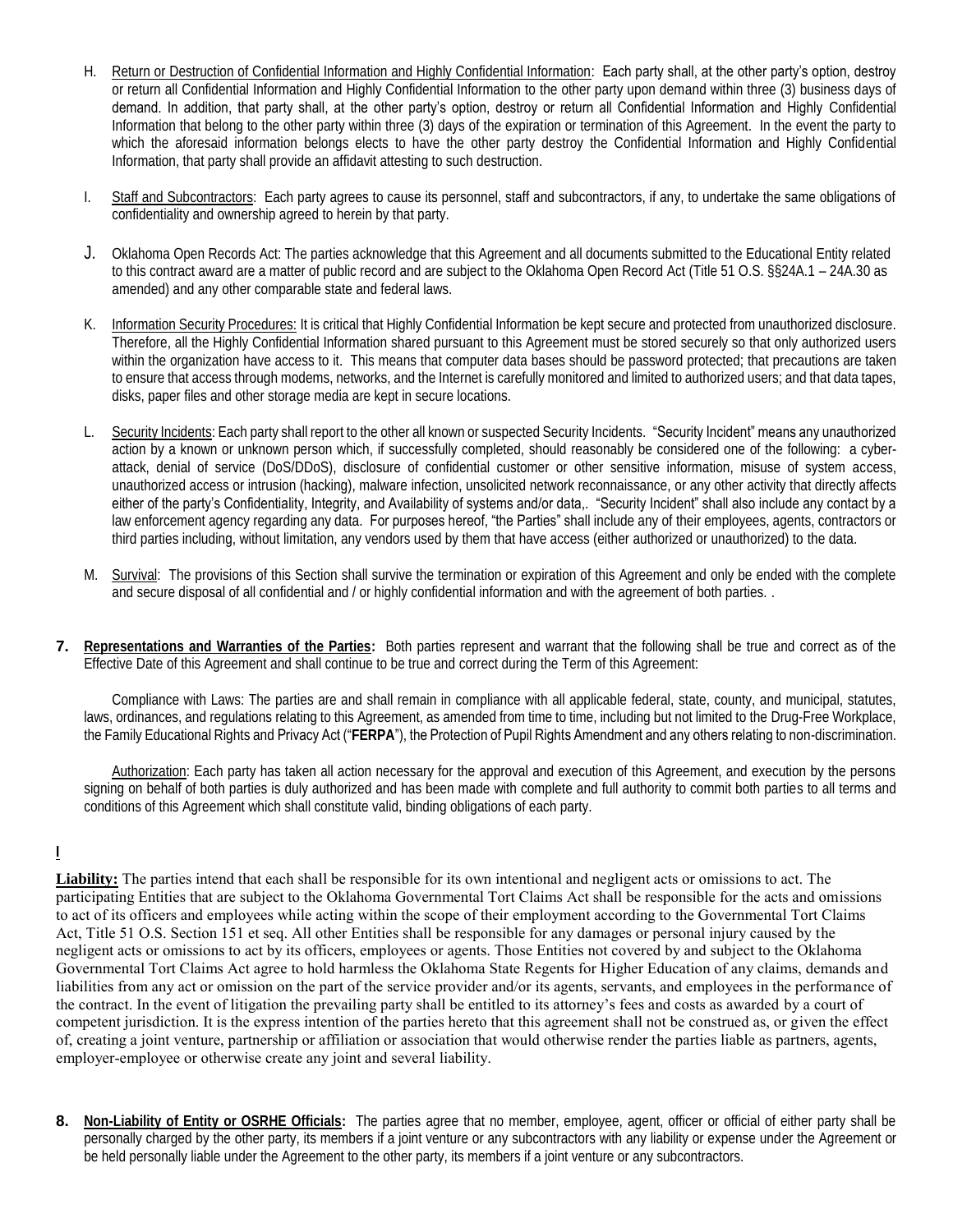- H. Return or Destruction of Confidential Information and Highly Confidential Information: Each party shall, at the other party's option, destroy or return all Confidential Information and Highly Confidential Information to the other party upon demand within three (3) business days of demand. In addition, that party shall, at the other party's option, destroy or return all Confidential Information and Highly Confidential Information that belong to the other party within three (3) days of the expiration or termination of this Agreement. In the event the party to which the aforesaid information belongs elects to have the other party destroy the Confidential Information and Highly Confidential Information, that party shall provide an affidavit attesting to such destruction.
- I. Staff and Subcontractors: Each party agrees to cause its personnel, staff and subcontractors, if any, to undertake the same obligations of confidentiality and ownership agreed to herein by that party.
- J. Oklahoma Open Records Act: The parties acknowledge that this Agreement and all documents submitted to the Educational Entity related to this contract award are a matter of public record and are subject to the Oklahoma Open Record Act (Title 51 O.S. §§24A.1 – 24A.30 as amended) and any other comparable state and federal laws.
- K. Information Security Procedures: It is critical that Highly Confidential Information be kept secure and protected from unauthorized disclosure. Therefore, all the Highly Confidential Information shared pursuant to this Agreement must be stored securely so that only authorized users to ensure that access through modems, networks, and the Internet is carefully monitored and limited to authorized users; and that data tapes, within the organization have access to it. This means that computer data bases should be password protected; that precautions are taken disks, paper files and other storage media are kept in secure locations.
- L. Security Incidents: Each party shall report to the other all known or suspected Security Incidents. "Security Incident" means any unauthorized action by a known or unknown person which, if successfully completed, should reasonably be considered one of the following: a cyber- attack, denial of service (DoS/DDoS), disclosure of confidential customer or other sensitive information, misuse of system access, law enforcement agency regarding any data. For purposes hereof, "the Parties" shall include any of their employees, agents, contractors or unauthorized access or intrusion (hacking), malware infection, unsolicited network reconnaissance, or any other activity that directly affects either of the party's Confidentiality, Integrity, and Availability of systems and/or data,. "Security Incident" shall also include any contact by a third parties including, without limitation, any vendors used by them that have access (either authorized or unauthorized) to the data.
- M. Survival: The provisions of this Section shall survive the termination or expiration of this Agreement and only be ended with the complete and secure disposal of all confidential and / or highly confidential information and with the agreement of both parties. .
- **7. Representations and Warranties of the Parties:** Both parties represent and warrant that the following shall be true and correct as of the Effective Date of this Agreement and shall continue to be true and correct during the Term of this Agreement:

 Compliance with Laws: The parties are and shall remain in compliance with all applicable federal, state, county, and municipal, statutes, laws, ordinances, and regulations relating to this Agreement, as amended from time to time, including but not limited to the Drug-Free Workplace, the Family Educational Rights and Privacy Act ("**FERPA**"), the Protection of Pupil Rights Amendment and any others relating to non-discrimination.

Authorization: Each party has taken all action necessary for the approval and execution of this Agreement, and execution by the persons signing on behalf of both parties is duly authorized and has been made with complete and full authority to commit both parties to all terms and conditions of this Agreement which shall constitute valid, binding obligations of each party.

#### **I**

 **Liability:** The parties intend that each shall be responsible for its own intentional and negligent acts or omissions to act. The participating Entities that are subject to the Oklahoma Governmental Tort Claims Act shall be responsible for the acts and omissions to act of its officers and employees while acting within the scope of their employment according to the Governmental Tort Claims Act, Title 51 O.S. Section 151 et seq. All other Entities shall be responsible for any damages or personal injury caused by the negligent acts or omissions to act by its officers, employees or agents. Those Entities not covered by and subject to the Oklahoma Governmental Tort Claims Act agree to hold harmless the Oklahoma State Regents for Higher Education of any claims, demands and liabilities from any act or omission on the part of the service provider and/or its agents, servants, and employees in the performance of the contract. In the event of litigation the prevailing party shall be entitled to its attorney's fees and costs as awarded by a court of competent jurisdiction. It is the express intention of the parties hereto that this agreement shall not be construed as, or given the effect of, creating a joint venture, partnership or affiliation or association that would otherwise render the parties liable as partners, agents, employer-employee or otherwise create any joint and several liability.

 **8. Non-Liability of Entity or OSRHE Officials:** The parties agree that no member, employee, agent, officer or official of either party shall be personally charged by the other party, its members if a joint venture or any subcontractors with any liability or expense under the Agreement or be held personally liable under the Agreement to the other party, its members if a joint venture or any subcontractors.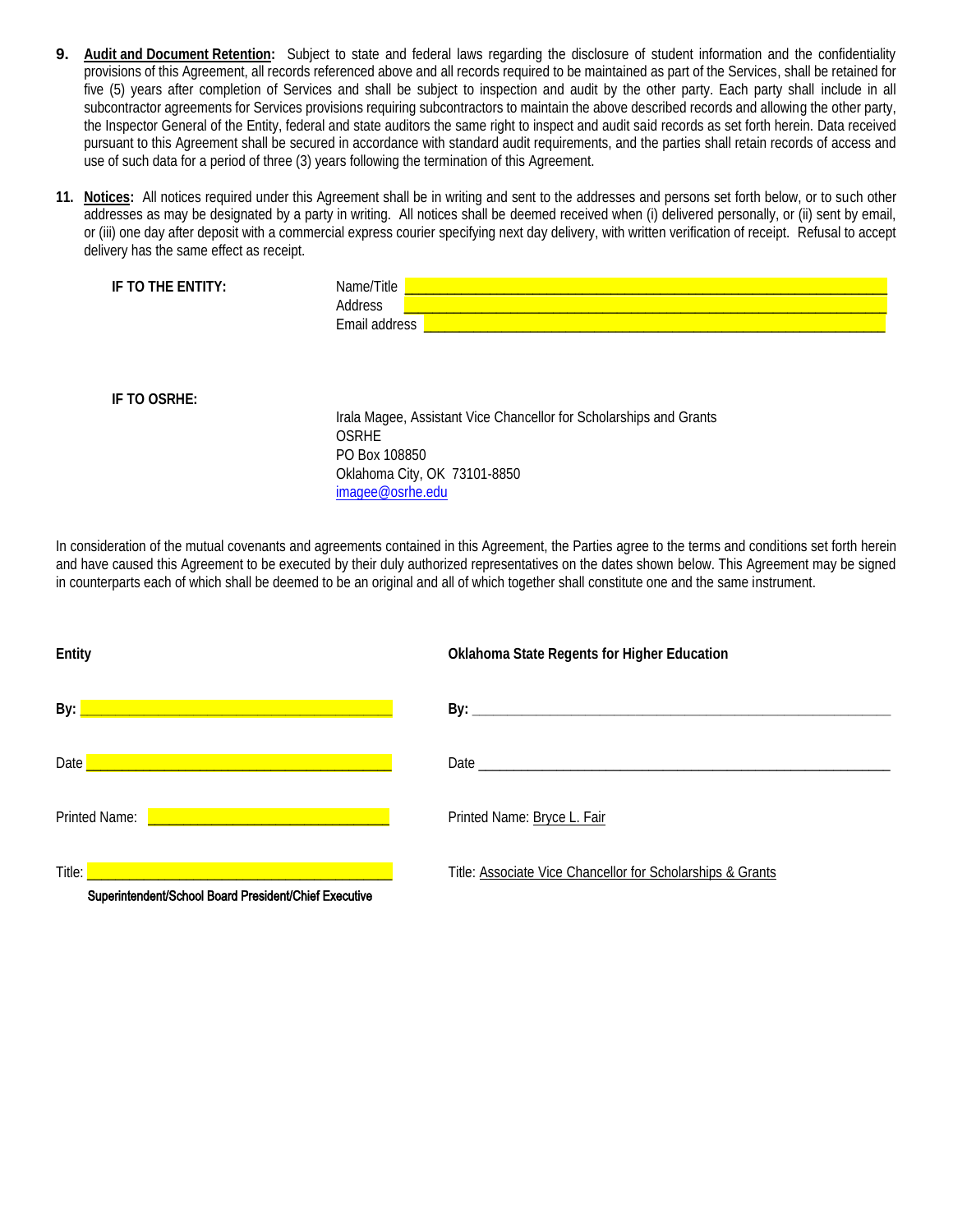- **9.** Audit and Document Retention: Subject to state and federal laws regarding the disclosure of student information and the confidentiality provisions of this Agreement, all records referenced above and all records required to be maintained as part of the Services, shall be retained for five (5) years after completion of Services and shall be subject to inspection and audit by the other party. Each party shall include in all subcontractor agreements for Services provisions requiring subcontractors to maintain the above described records and allowing the other party, the Inspector General of the Entity, federal and state auditors the same right to inspect and audit said records as set forth herein. Data received pursuant to this Agreement shall be secured in accordance with standard audit requirements, and the parties shall retain records of access and use of such data for a period of three (3) years following the termination of this Agreement.
- **11. Notices:** All notices required under this Agreement shall be in writing and sent to the addresses and persons set forth below, or to such other addresses as may be designated by a party in writing. All notices shall be deemed received when (i) delivered personally, or (ii) sent by email, or (iii) one day after deposit with a commercial express courier specifying next day delivery, with written verification of receipt. Refusal to accept delivery has the same effect as receipt.

| IF TO THE ENTITY: | Name/Title<br>Address<br>Email address                                                                                              |
|-------------------|-------------------------------------------------------------------------------------------------------------------------------------|
|                   |                                                                                                                                     |
| IF TO OSRHE:      | Irala Magee, Assistant Vice Chancellor for Scholarships and Grants<br><b>OSRHE</b><br>PO Box 108850<br>Oklahoma City, OK 73101-8850 |

 In consideration of the mutual covenants and agreements contained in this Agreement, the Parties agree to the terms and conditions set forth herein and have caused this Agreement to be executed by their duly authorized representatives on the dates shown below. This Agreement may be signed in counterparts each of which shall be deemed to be an original and all of which together shall constitute one and the same instrument.

[imagee@osrhe.edu](mailto:imagee@osrhe.edu) 

| Entity                                                                   | Oklahoma State Regents for Higher Education                |
|--------------------------------------------------------------------------|------------------------------------------------------------|
| By:<br><u> 1999 - Jan Samuel Barbara, margaret e</u> ta biztanleria      |                                                            |
| Date<br><u> 1999 - Johann John Stone, meilich aus der Stone († 1908)</u> |                                                            |
| Printed Name: <b>Example 2020</b> and 2020 and 2020 and 2021             | Printed Name: Bryce L. Fair                                |
| Superintendent/School Board President/Chief Executive                    | Title: Associate Vice Chancellor for Scholarships & Grants |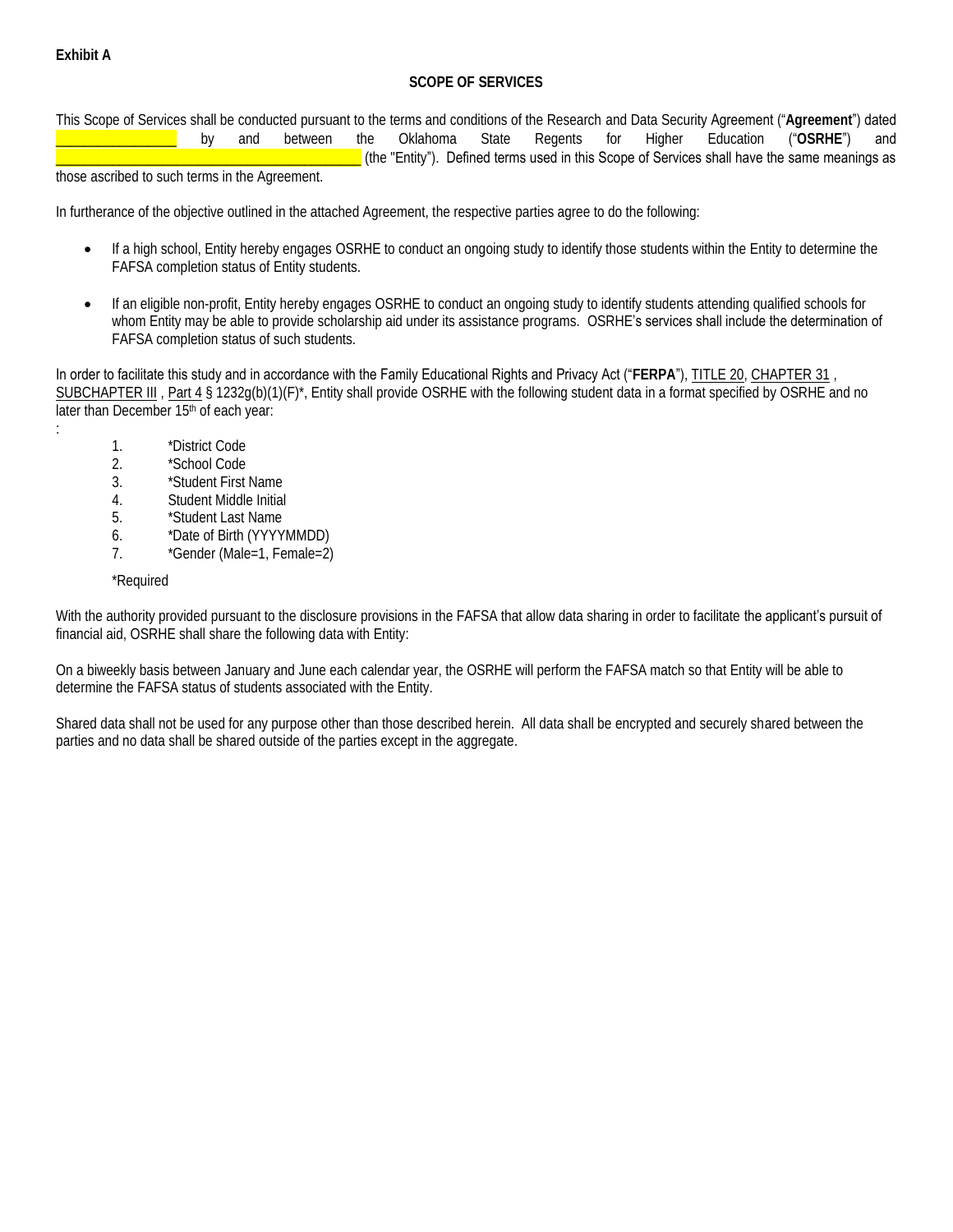:

# **SCOPE OF SERVICES**

 This Scope of Services shall be conducted pursuant to the terms and conditions of the Research and Data Security Agreement ("**Agreement**") dated  $("OSRHE")$ \_\_\_\_\_\_\_\_\_\_\_\_\_\_\_\_\_ by and between the Oklahoma State Regents for Higher Education ("**OSRHE**") and \_\_\_\_\_\_\_\_\_\_\_\_\_\_\_\_\_\_\_\_\_\_\_\_\_\_\_\_\_\_\_\_\_\_\_\_\_\_\_\_\_\_\_ (the "Entity"). Defined terms used in this Scope of Services shall have the same meanings as

those ascribed to such terms in the Agreement.

In furtherance of the objective outlined in the attached Agreement, the respective parties agree to do the following:

- If a high school, Entity hereby engages OSRHE to conduct an ongoing study to identify those students within the Entity to determine the FAFSA completion status of Entity students.
- If an eligible non-profit, Entity hereby engages OSRHE to conduct an ongoing study to identify students attending qualified schools for whom Entity may be able to provide scholarship aid under its assistance programs. OSRHE's services shall include the determination of FAFSA completion status of such students.

In order to facilitate this study and in accordance with the Family Educational Rights and Privacy Act ("FERPA"), [TITLE 20,](http://www.law.cornell.edu/uscode/20/usc_sup_01_20.html_) CHAPTER 31, [SUBCHAPTER III](http://www.law.cornell.edu/uscode/20/usc_sup_01_20_10_31_20_III.html_) , [Part 4](http://www.law.cornell.edu/uscode/20/usc_sup_01_20_10_31_20_III_30_sq4.html_) § 1232g(b)(1)(F)\*, Entity shall provide OSRHE with the following student data in a format specified by OSRHE and no later than December 15<sup>th</sup> of each year:

- 1. \*District Code
- 2. \*School Code
- 3. \*Student First Name
- 4. Student Middle Initial
- 5. \*Student Last Name
- 6. \*Date of Birth (YYYYMMDD)
- 7. \*Gender (Male=1, Female=2)

### \*Required

With the authority provided pursuant to the disclosure provisions in the FAFSA that allow data sharing in order to facilitate the applicant's pursuit of financial aid, OSRHE shall share the following data with Entity:

On a biweekly basis between January and June each calendar year, the OSRHE will perform the FAFSA match so that Entity will be able to determine the FAFSA status of students associated with the Entity.

Shared data shall not be used for any purpose other than those described herein. All data shall be encrypted and securely shared between the parties and no data shall be shared outside of the parties except in the aggregate.